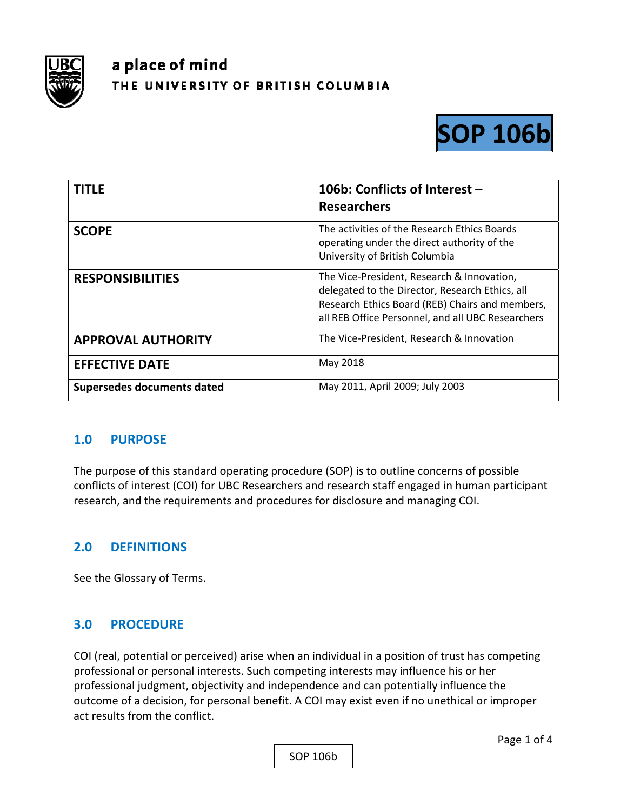

# a place of mind THE UNIVERSITY OF BRITISH COLUMBIA



| <b>TITLE</b>               | 106b: Conflicts of Interest -<br><b>Researchers</b>                                                                                                                                                   |
|----------------------------|-------------------------------------------------------------------------------------------------------------------------------------------------------------------------------------------------------|
| <b>SCOPE</b>               | The activities of the Research Ethics Boards<br>operating under the direct authority of the<br>University of British Columbia                                                                         |
| <b>RESPONSIBILITIES</b>    | The Vice-President, Research & Innovation,<br>delegated to the Director, Research Ethics, all<br>Research Ethics Board (REB) Chairs and members,<br>all REB Office Personnel, and all UBC Researchers |
| <b>APPROVAL AUTHORITY</b>  | The Vice-President, Research & Innovation                                                                                                                                                             |
| <b>EFFECTIVE DATE</b>      | May 2018                                                                                                                                                                                              |
| Supersedes documents dated | May 2011, April 2009; July 2003                                                                                                                                                                       |

#### **1.0 PURPOSE**

The purpose of this standard operating procedure (SOP) is to outline concerns of possible conflicts of interest (COI) for UBC Researchers and research staff engaged in human participant research, and the requirements and procedures for disclosure and managing COI.

#### **2.0 DEFINITIONS**

See the Glossary of Terms.

#### **3.0 PROCEDURE**

COI (real, potential or perceived) arise when an individual in a position of trust has competing professional or personal interests. Such competing interests may influence his or her professional judgment, objectivity and independence and can potentially influence the outcome of a decision, for personal benefit. A COI may exist even if no unethical or improper act results from the conflict.

SOP 106b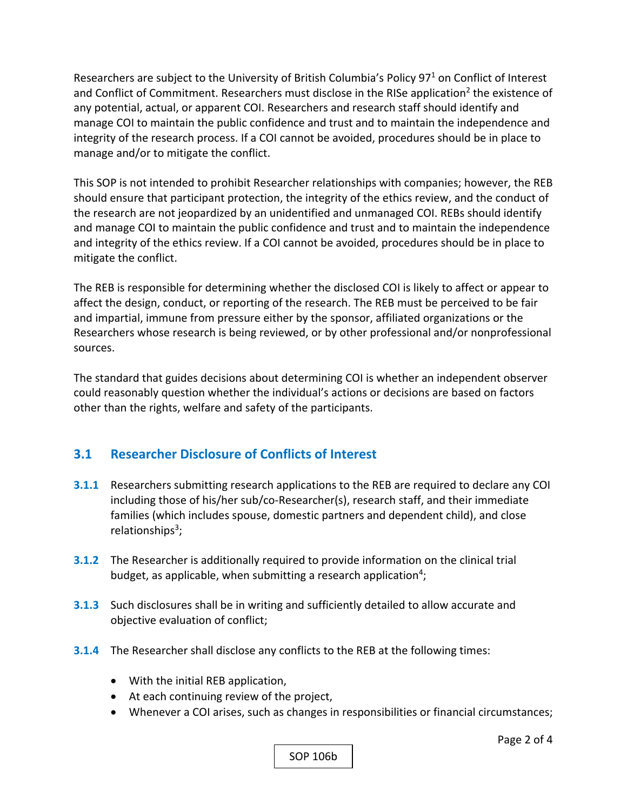Researchers are subject to the University of British Columbia's Policy 97<sup>1</sup> on Conflict of Interest and Conflict of Commitment. Researchers must disclose in the RISe application<sup>2</sup> the existence of any potential, actual, or apparent COI. Researchers and research staff should identify and manage COI to maintain the public confidence and trust and to maintain the independence and integrity of the research process. If a COI cannot be avoided, procedures should be in place to manage and/or to mitigate the conflict.

This SOP is not intended to prohibit Researcher relationships with companies; however, the REB should ensure that participant protection, the integrity of the ethics review, and the conduct of the research are not jeopardized by an unidentified and unmanaged COI. REBs should identify and manage COI to maintain the public confidence and trust and to maintain the independence and integrity of the ethics review. If a COI cannot be avoided, procedures should be in place to mitigate the conflict.

The REB is responsible for determining whether the disclosed COI is likely to affect or appear to affect the design, conduct, or reporting of the research. The REB must be perceived to be fair and impartial, immune from pressure either by the sponsor, affiliated organizations or the Researchers whose research is being reviewed, or by other professional and/or nonprofessional sources.

The standard that guides decisions about determining COI is whether an independent observer could reasonably question whether the individual's actions or decisions are based on factors other than the rights, welfare and safety of the participants.

# **3.1 Researcher Disclosure of Conflicts of Interest**

- **3.1.1** Researchers submitting research applications to the REB are required to declare any COI including those of his/her sub/co‐Researcher(s), research staff, and their immediate families (which includes spouse, domestic partners and dependent child), and close relationships $3$ ;
- **3.1.2** The Researcher is additionally required to provide information on the clinical trial budget, as applicable, when submitting a research application<sup>4</sup>;
- **3.1.3**  Such disclosures shall be in writing and sufficiently detailed to allow accurate and objective evaluation of conflict;
- **3.1.4**  The Researcher shall disclose any conflicts to the REB at the following times:
	- With the initial REB application,
	- At each continuing review of the project,
	- Whenever a COI arises, such as changes in responsibilities or financial circumstances;

SOP 106b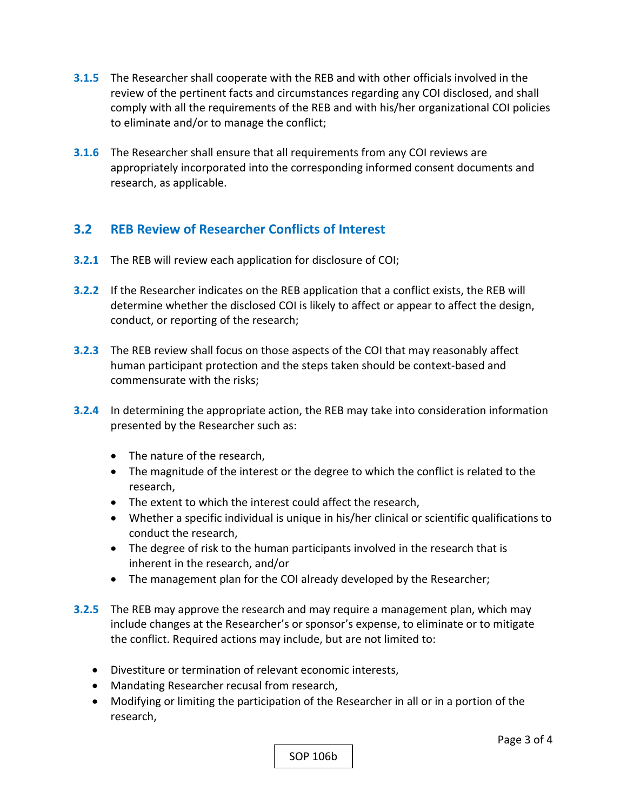- **3.1.5**  The Researcher shall cooperate with the REB and with other officials involved in the review of the pertinent facts and circumstances regarding any COI disclosed, and shall comply with all the requirements of the REB and with his/her organizational COI policies to eliminate and/or to manage the conflict;
- **3.1.6**  The Researcher shall ensure that all requirements from any COI reviews are appropriately incorporated into the corresponding informed consent documents and research, as applicable.

## **3.2 REB Review of Researcher Conflicts of Interest**

- **3.2.1** The REB will review each application for disclosure of COI;
- **3.2.2**  If the Researcher indicates on the REB application that a conflict exists, the REB will determine whether the disclosed COI is likely to affect or appear to affect the design, conduct, or reporting of the research;
- **3.2.3** The REB review shall focus on those aspects of the COI that may reasonably affect human participant protection and the steps taken should be context‐based and commensurate with the risks;
- **3.2.4** In determining the appropriate action, the REB may take into consideration information presented by the Researcher such as:
	- The nature of the research,
	- The magnitude of the interest or the degree to which the conflict is related to the research,
	- The extent to which the interest could affect the research,
	- Whether a specific individual is unique in his/her clinical or scientific qualifications to conduct the research,
	- The degree of risk to the human participants involved in the research that is inherent in the research, and/or
	- The management plan for the COI already developed by the Researcher;
- **3.2.5** The REB may approve the research and may require a management plan, which may include changes at the Researcher's or sponsor's expense, to eliminate or to mitigate the conflict. Required actions may include, but are not limited to:
	- Divestiture or termination of relevant economic interests,
	- Mandating Researcher recusal from research,
	- Modifying or limiting the participation of the Researcher in all or in a portion of the research,

SOP 106b